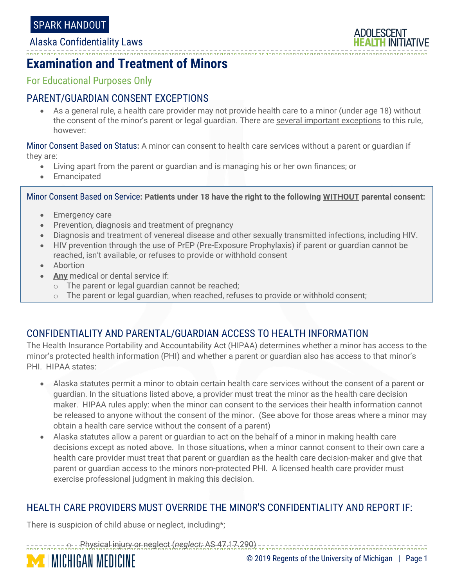Alaska Confidentiality Laws



# **Examination and Treatment of Minors**

For Educational Purposes Only

## PARENT/GUARDIAN CONSENT EXCEPTIONS

• As a general rule, a health care provider may not provide health care to a minor (under age 18) without the consent of the minor's parent or legal guardian. There are several important exceptions to this rule, however:

Minor Consent Based on Status**:** A minor can consent to health care services without a parent or guardian if they are:

- Living apart from the parent or guardian and is managing his or her own finances; or
- Emancipated

Minor Consent Based on Service**: Patients under 18 have the right to the following WITHOUT parental consent:**

- Emergency care
- Prevention, diagnosis and treatment of pregnancy
- Diagnosis and treatment of venereal disease and other sexually transmitted infections, including HIV.
- HIV prevention through the use of PrEP (Pre-Exposure Prophylaxis) if parent or quardian cannot be reached, isn't available, or refuses to provide or withhold consent
- Abortion
- **Any** medical or dental service if:
	- o The parent or legal guardian cannot be reached;
	- $\circ$  The parent or legal guardian, when reached, refuses to provide or withhold consent;

### CONFIDENTIALITY AND PARENTAL/GUARDIAN ACCESS TO HEALTH INFORMATION

The Health Insurance Portability and Accountability Act (HIPAA) determines whether a minor has access to the minor's protected health information (PHI) and whether a parent or guardian also has access to that minor's PHI. HIPAA states:

- Alaska statutes permit a minor to obtain certain health care services without the consent of a parent or guardian. In the situations listed above, a provider must treat the minor as the health care decision maker. HIPAA rules apply: when the minor can consent to the services their health information cannot be released to anyone without the consent of the minor. (See above for those areas where a minor may obtain a health care service without the consent of a parent)
- Alaska statutes allow a parent or guardian to act on the behalf of a minor in making health care decisions except as noted above. In those situations, when a minor cannot consent to their own care a health care provider must treat that parent or guardian as the health care decision-maker and give that parent or guardian access to the minors non-protected PHI. A licensed health care provider must exercise professional judgment in making this decision.

### HEALTH CARE PROVIDERS MUST OVERRIDE THE MINOR'S CONFIDENTIALITY AND REPORT IF:

There is suspicion of child abuse or neglect, including\*;

**MICHIGAN MEDICINE** 

o Physical injury or neglect (*neglect:* AS 47.17.290)